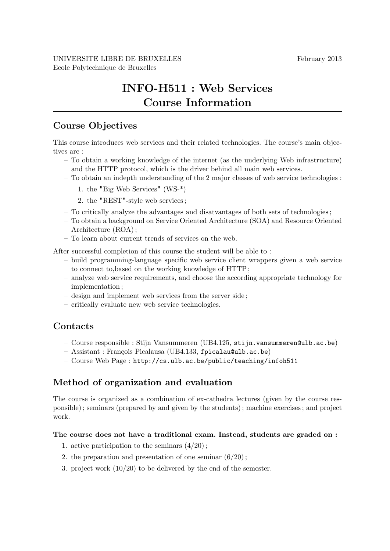# INFO-H511 : Web Services Course Information

### Course Objectives

This course introduces web services and their related technologies. The course's main objectives are :

- To obtain a working knowledge of the internet (as the underlying Web infrastructure) and the HTTP protocol, which is the driver behind all main web services.
- To obtain an indepth understanding of the 2 major classes of web service technologies :
	- 1. the "Big Web Services" (WS-\*)
	- 2. the "REST"-style web services ;
- To critically analyze the advantages and disatvantages of both sets of technologies ;
- To obtain a background on Service Oriented Architecture (SOA) and Resource Oriented Architecture (ROA) ;
- To learn about current trends of services on the web.

After successful completion of this course the student will be able to :

- build programming-language specific web service client wrappers given a web service to connect to,based on the working knowledge of HTTP ;
- analyze web service requirements, and choose the according appropriate technology for implementation ;
- design and implement web services from the server side ;
- critically evaluate new web service technologies.

### **Contacts**

- Course responsible : Stijn Vansummeren (UB4.125, stijn.vansummeren@ulb.ac.be)
- Assistant : Fran¸cois Picalausa (UB4.133, fpicalau@ulb.ac.be)
- Course Web Page : http://cs.ulb.ac.be/public/teaching/infoh511

## Method of organization and evaluation

The course is organized as a combination of ex-cathedra lectures (given by the course responsible) ; seminars (prepared by and given by the students) ; machine exercises ; and project work.

#### The course does not have a traditional exam. Instead, students are graded on :

- 1. active participation to the seminars  $(4/20)$ ;
- 2. the preparation and presentation of one seminar  $(6/20)$ ;
- 3. project work (10/20) to be delivered by the end of the semester.